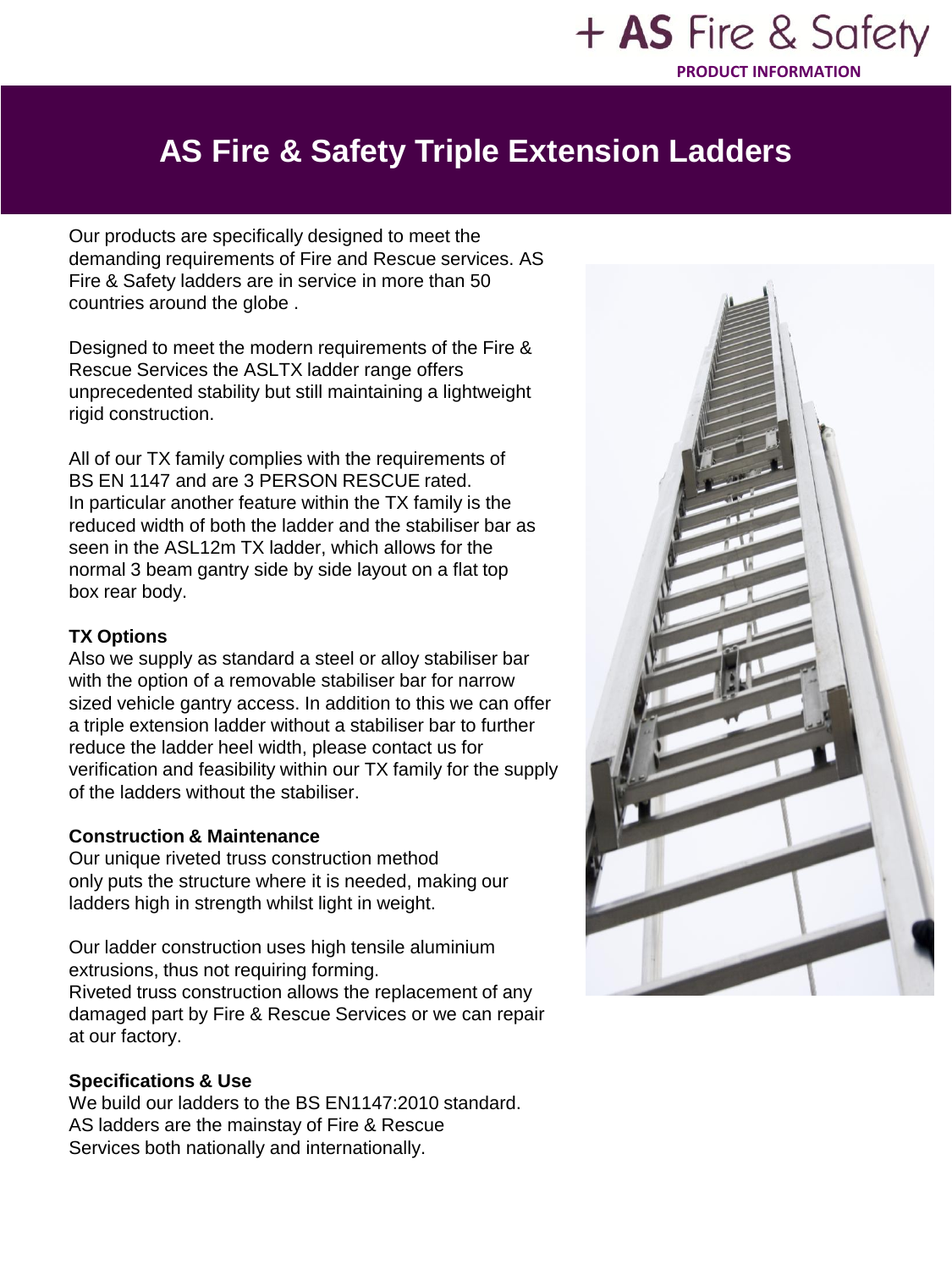### + AS Fire & Safety **PRODUCT INFORMATION**

# **AS Fire & Safety Triple Extension Ladders**

Our products are specifically designed to meet the demanding requirements of Fire and Rescue services. AS Fire & Safety ladders are in service in more than 50 countries around the globe .

Designed to meet the modern requirements of the Fire & Rescue Services the ASLTX ladder range offers unprecedented stability but still maintaining a lightweight rigid construction.

All of our TX family complies with the requirements of BS EN 1147 and are 3 PERSON RESCUE rated. In particular another feature within the TX family is the reduced width of both the ladder and the stabiliser bar as seen in the ASL12m TX ladder, which allows for the normal 3 beam gantry side by side layout on a flat top box rear body.

#### **TX Options**

Also we supply as standard a steel or alloy stabiliser bar with the option of a removable stabiliser bar for narrow sized vehicle gantry access. In addition to this we can offer a triple extension ladder without a stabiliser bar to further reduce the ladder heel width, please contact us for verification and feasibility within our TX family for the supply of the ladders without the stabiliser.

#### **Construction & Maintenance**

Our unique riveted truss construction method only puts the structure where it is needed, making our ladders high in strength whilst light in weight.

Our ladder construction uses high tensile aluminium extrusions, thus not requiring forming. Riveted truss construction allows the replacement of any damaged part by Fire & Rescue Services or we can repair at our factory.

#### **Specifications & Use**

We build our ladders to the BS EN1147:2010 standard. AS ladders are the mainstay of Fire & Rescue Services both nationally and internationally.